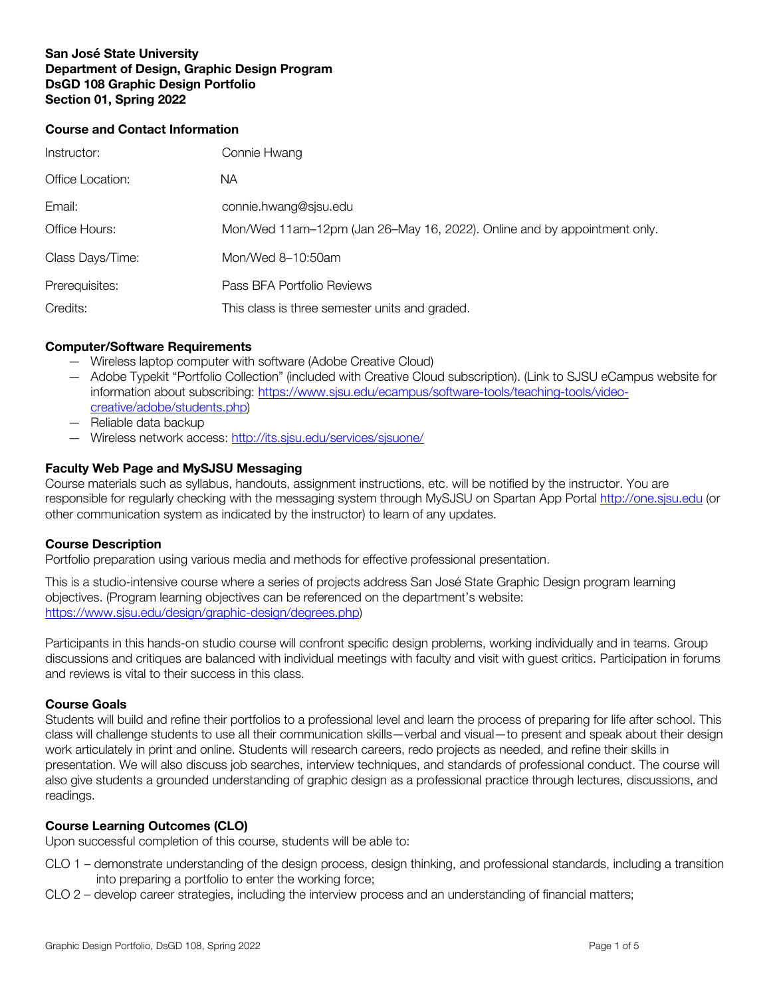## **San José State University Department of Design, Graphic Design Program DsGD 108 Graphic Design Portfolio Section 01, Spring 2022**

### **Course and Contact Information**

| Instructor:      | Connie Hwang                                                             |
|------------------|--------------------------------------------------------------------------|
| Office Location: | NА                                                                       |
| Email:           | connie.hwang@sjsu.edu                                                    |
| Office Hours:    | Mon/Wed 11am-12pm (Jan 26-May 16, 2022). Online and by appointment only. |
| Class Days/Time: | Mon/Wed 8-10:50am                                                        |
| Prerequisites:   | Pass BFA Portfolio Reviews                                               |
| Credits:         | This class is three semester units and graded.                           |

# **Computer/Software Requirements**

- Wireless laptop computer with software (Adobe Creative Cloud)
- Adobe Typekit "Portfolio Collection" (included with Creative Cloud subscription). (Link to SJSU eCampus website for information about subscribing: https://www.sjsu.edu/ecampus/software-tools/teaching-tools/videocreative/adobe/students.php)
- Reliable data backup
- Wireless network access: http://its.sjsu.edu/services/sjsuone/

# **Faculty Web Page and MySJSU Messaging**

Course materials such as syllabus, handouts, assignment instructions, etc. will be notified by the instructor. You are responsible for regularly checking with the messaging system through MySJSU on Spartan App Portal http://one.sjsu.edu (or other communication system as indicated by the instructor) to learn of any updates.

## **Course Description**

Portfolio preparation using various media and methods for effective professional presentation.

This is a studio-intensive course where a series of projects address San José State Graphic Design program learning objectives. (Program learning objectives can be referenced on the department's website: https://www.sjsu.edu/design/graphic-design/degrees.php)

Participants in this hands-on studio course will confront specific design problems, working individually and in teams. Group discussions and critiques are balanced with individual meetings with faculty and visit with guest critics. Participation in forums and reviews is vital to their success in this class.

## **Course Goals**

Students will build and refine their portfolios to a professional level and learn the process of preparing for life after school. This class will challenge students to use all their communication skills—verbal and visual—to present and speak about their design work articulately in print and online. Students will research careers, redo projects as needed, and refine their skills in presentation. We will also discuss job searches, interview techniques, and standards of professional conduct. The course will also give students a grounded understanding of graphic design as a professional practice through lectures, discussions, and readings.

## **Course Learning Outcomes (CLO)**

Upon successful completion of this course, students will be able to:

- CLO 1 demonstrate understanding of the design process, design thinking, and professional standards, including a transition into preparing a portfolio to enter the working force;
- CLO 2 develop career strategies, including the interview process and an understanding of financial matters;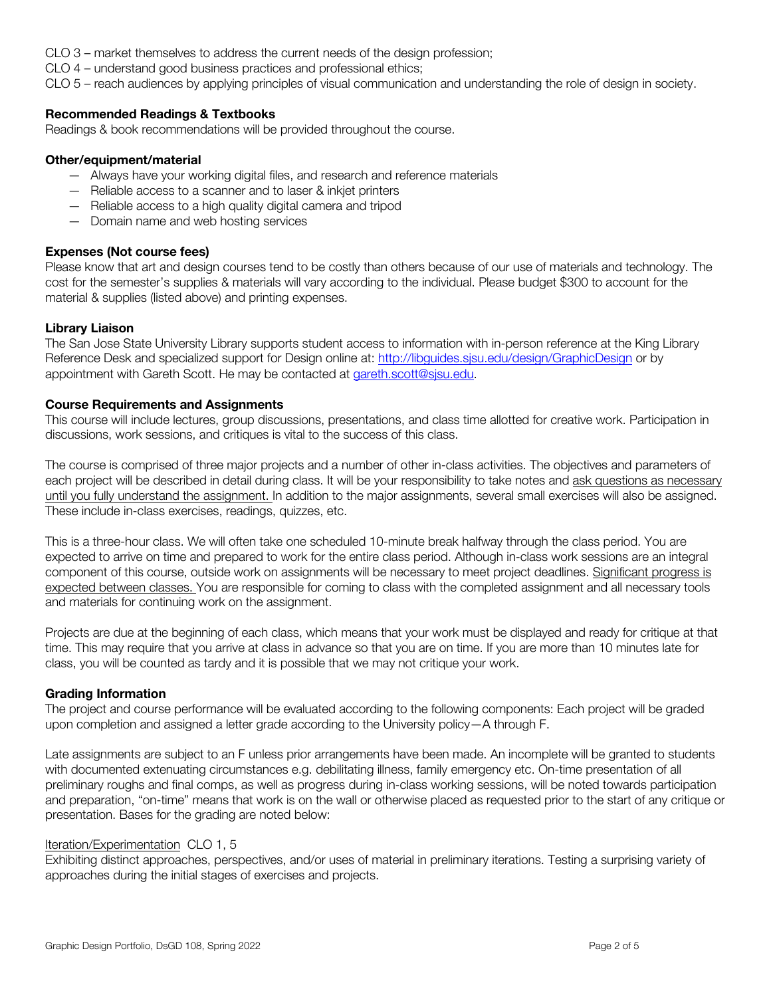- CLO 3 market themselves to address the current needs of the design profession;
- CLO 4 understand good business practices and professional ethics;

CLO 5 – reach audiences by applying principles of visual communication and understanding the role of design in society.

## **Recommended Readings & Textbooks**

Readings & book recommendations will be provided throughout the course.

## **Other/equipment/material**

- Always have your working digital files, and research and reference materials
- Reliable access to a scanner and to laser & inkjet printers
- Reliable access to a high quality digital camera and tripod
- Domain name and web hosting services

## **Expenses (Not course fees)**

Please know that art and design courses tend to be costly than others because of our use of materials and technology. The cost for the semester's supplies & materials will vary according to the individual. Please budget \$300 to account for the material & supplies (listed above) and printing expenses.

## **Library Liaison**

The San Jose State University Library supports student access to information with in-person reference at the King Library Reference Desk and specialized support for Design online at: http://libguides.sjsu.edu/design/GraphicDesign or by appointment with Gareth Scott. He may be contacted at gareth.scott@sjsu.edu.

## **Course Requirements and Assignments**

This course will include lectures, group discussions, presentations, and class time allotted for creative work. Participation in discussions, work sessions, and critiques is vital to the success of this class.

The course is comprised of three major projects and a number of other in-class activities. The objectives and parameters of each project will be described in detail during class. It will be your responsibility to take notes and ask questions as necessary until you fully understand the assignment. In addition to the major assignments, several small exercises will also be assigned. These include in-class exercises, readings, quizzes, etc.

This is a three-hour class. We will often take one scheduled 10-minute break halfway through the class period. You are expected to arrive on time and prepared to work for the entire class period. Although in-class work sessions are an integral component of this course, outside work on assignments will be necessary to meet project deadlines. Significant progress is expected between classes. You are responsible for coming to class with the completed assignment and all necessary tools and materials for continuing work on the assignment.

Projects are due at the beginning of each class, which means that your work must be displayed and ready for critique at that time. This may require that you arrive at class in advance so that you are on time. If you are more than 10 minutes late for class, you will be counted as tardy and it is possible that we may not critique your work.

#### **Grading Information**

The project and course performance will be evaluated according to the following components: Each project will be graded upon completion and assigned a letter grade according to the University policy—A through F.

Late assignments are subject to an F unless prior arrangements have been made. An incomplete will be granted to students with documented extenuating circumstances e.g. debilitating illness, family emergency etc. On-time presentation of all preliminary roughs and final comps, as well as progress during in-class working sessions, will be noted towards participation and preparation, "on-time" means that work is on the wall or otherwise placed as requested prior to the start of any critique or presentation. Bases for the grading are noted below:

#### Iteration/Experimentation CLO 1, 5

Exhibiting distinct approaches, perspectives, and/or uses of material in preliminary iterations. Testing a surprising variety of approaches during the initial stages of exercises and projects.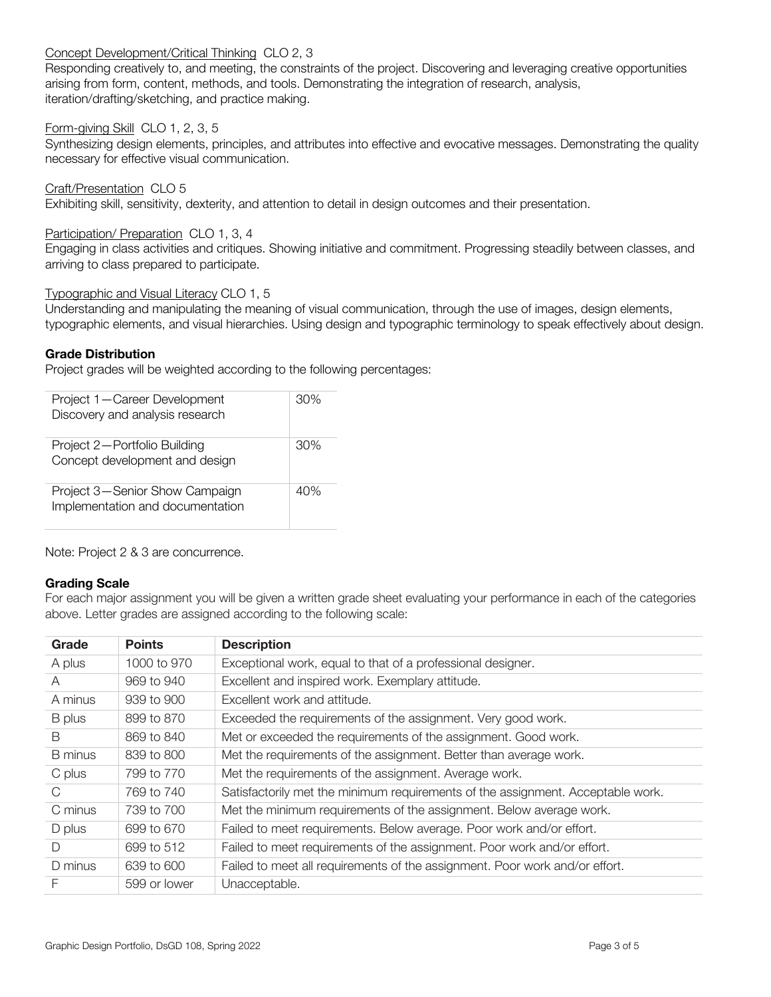## Concept Development/Critical Thinking CLO 2, 3

Responding creatively to, and meeting, the constraints of the project. Discovering and leveraging creative opportunities arising from form, content, methods, and tools. Demonstrating the integration of research, analysis, iteration/drafting/sketching, and practice making.

## Form-giving Skill CLO 1, 2, 3, 5

Synthesizing design elements, principles, and attributes into effective and evocative messages. Demonstrating the quality necessary for effective visual communication.

Craft/Presentation CLO 5 Exhibiting skill, sensitivity, dexterity, and attention to detail in design outcomes and their presentation.

### Participation/ Preparation CLO 1, 3, 4

Engaging in class activities and critiques. Showing initiative and commitment. Progressing steadily between classes, and arriving to class prepared to participate.

#### Typographic and Visual Literacy CLO 1, 5

Understanding and manipulating the meaning of visual communication, through the use of images, design elements, typographic elements, and visual hierarchies. Using design and typographic terminology to speak effectively about design.

## **Grade Distribution**

Project grades will be weighted according to the following percentages:

| Project 1-Career Development<br>Discovery and analysis research    | 30% |
|--------------------------------------------------------------------|-----|
| Project 2-Portfolio Building<br>Concept development and design     | 30% |
| Project 3-Senior Show Campaign<br>Implementation and documentation | 40% |

Note: Project 2 & 3 are concurrence.

#### **Grading Scale**

For each major assignment you will be given a written grade sheet evaluating your performance in each of the categories above. Letter grades are assigned according to the following scale:

| Grade          | <b>Points</b> | <b>Description</b>                                                              |
|----------------|---------------|---------------------------------------------------------------------------------|
| A plus         | 1000 to 970   | Exceptional work, equal to that of a professional designer.                     |
| A              | 969 to 940    | Excellent and inspired work. Exemplary attitude.                                |
| A minus        | 939 to 900    | Excellent work and attitude.                                                    |
| B plus         | 899 to 870    | Exceeded the requirements of the assignment. Very good work.                    |
| B              | 869 to 840    | Met or exceeded the requirements of the assignment. Good work.                  |
| <b>B</b> minus | 839 to 800    | Met the requirements of the assignment. Better than average work.               |
| C plus         | 799 to 770    | Met the requirements of the assignment. Average work.                           |
| C              | 769 to 740    | Satisfactorily met the minimum requirements of the assignment. Acceptable work. |
| C minus        | 739 to 700    | Met the minimum requirements of the assignment. Below average work.             |
| D plus         | 699 to 670    | Failed to meet requirements. Below average. Poor work and/or effort.            |
| D              | 699 to 512    | Failed to meet requirements of the assignment. Poor work and/or effort.         |
| D minus        | 639 to 600    | Failed to meet all requirements of the assignment. Poor work and/or effort.     |
| F              | 599 or lower  | Unacceptable.                                                                   |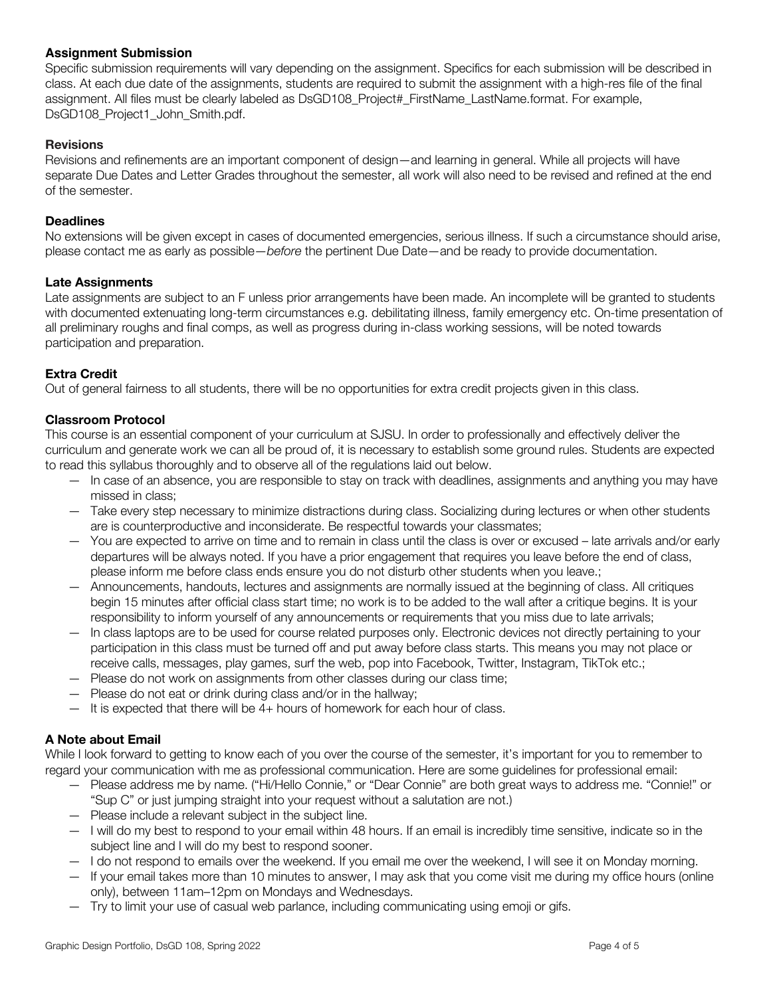## **Assignment Submission**

Specific submission requirements will vary depending on the assignment. Specifics for each submission will be described in class. At each due date of the assignments, students are required to submit the assignment with a high-res file of the final assignment. All files must be clearly labeled as DsGD108 Project# FirstName LastName.format. For example, DsGD108\_Project1\_John\_Smith.pdf.

## **Revisions**

Revisions and refinements are an important component of design—and learning in general. While all projects will have separate Due Dates and Letter Grades throughout the semester, all work will also need to be revised and refined at the end of the semester.

## **Deadlines**

No extensions will be given except in cases of documented emergencies, serious illness. If such a circumstance should arise, please contact me as early as possible—*before* the pertinent Due Date—and be ready to provide documentation.

#### **Late Assignments**

Late assignments are subject to an F unless prior arrangements have been made. An incomplete will be granted to students with documented extenuating long-term circumstances e.g. debilitating illness, family emergency etc. On-time presentation of all preliminary roughs and final comps, as well as progress during in-class working sessions, will be noted towards participation and preparation.

## **Extra Credit**

Out of general fairness to all students, there will be no opportunities for extra credit projects given in this class.

## **Classroom Protocol**

This course is an essential component of your curriculum at SJSU. In order to professionally and effectively deliver the curriculum and generate work we can all be proud of, it is necessary to establish some ground rules. Students are expected to read this syllabus thoroughly and to observe all of the regulations laid out below.

- In case of an absence, you are responsible to stay on track with deadlines, assignments and anything you may have missed in class;
- Take every step necessary to minimize distractions during class. Socializing during lectures or when other students are is counterproductive and inconsiderate. Be respectful towards your classmates;
- You are expected to arrive on time and to remain in class until the class is over or excused late arrivals and/or early departures will be always noted. If you have a prior engagement that requires you leave before the end of class, please inform me before class ends ensure you do not disturb other students when you leave.;
- Announcements, handouts, lectures and assignments are normally issued at the beginning of class. All critiques begin 15 minutes after official class start time; no work is to be added to the wall after a critique begins. It is your responsibility to inform yourself of any announcements or requirements that you miss due to late arrivals;
- In class laptops are to be used for course related purposes only. Electronic devices not directly pertaining to your participation in this class must be turned off and put away before class starts. This means you may not place or receive calls, messages, play games, surf the web, pop into Facebook, Twitter, Instagram, TikTok etc.;
- Please do not work on assignments from other classes during our class time;
- Please do not eat or drink during class and/or in the hallway;
- It is expected that there will be 4+ hours of homework for each hour of class.

## **A Note about Email**

While I look forward to getting to know each of you over the course of the semester, it's important for you to remember to regard your communication with me as professional communication. Here are some guidelines for professional email:

- Please address me by name. ("Hi/Hello Connie," or "Dear Connie" are both great ways to address me. "Connie!" or "Sup C" or just jumping straight into your request without a salutation are not.)
- Please include a relevant subject in the subject line.
- I will do my best to respond to your email within 48 hours. If an email is incredibly time sensitive, indicate so in the subject line and I will do my best to respond sooner.
- I do not respond to emails over the weekend. If you email me over the weekend, I will see it on Monday morning.
- If your email takes more than 10 minutes to answer, I may ask that you come visit me during my office hours (online only), between 11am–12pm on Mondays and Wednesdays.
- Try to limit your use of casual web parlance, including communicating using emoji or gifs.